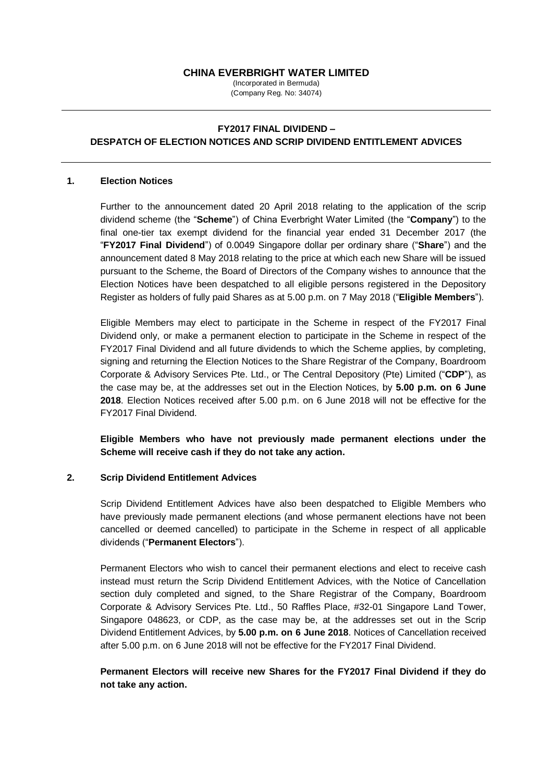## **CHINA EVERBRIGHT WATER LIMITED**

(Incorporated in Bermuda) (Company Reg. No: 34074)

# **FY2017 FINAL DIVIDEND – DESPATCH OF ELECTION NOTICES AND SCRIP DIVIDEND ENTITLEMENT ADVICES**

### **1. Election Notices**

Further to the announcement dated 20 April 2018 relating to the application of the scrip dividend scheme (the "**Scheme**") of China Everbright Water Limited (the "**Company**") to the final one-tier tax exempt dividend for the financial year ended 31 December 2017 (the "**FY2017 Final Dividend**") of 0.0049 Singapore dollar per ordinary share ("**Share**") and the announcement dated 8 May 2018 relating to the price at which each new Share will be issued pursuant to the Scheme, the Board of Directors of the Company wishes to announce that the Election Notices have been despatched to all eligible persons registered in the Depository Register as holders of fully paid Shares as at 5.00 p.m. on 7 May 2018 ("**Eligible Members**").

Eligible Members may elect to participate in the Scheme in respect of the FY2017 Final Dividend only, or make a permanent election to participate in the Scheme in respect of the FY2017 Final Dividend and all future dividends to which the Scheme applies, by completing, signing and returning the Election Notices to the Share Registrar of the Company, Boardroom Corporate & Advisory Services Pte. Ltd., or The Central Depository (Pte) Limited ("**CDP**"), as the case may be, at the addresses set out in the Election Notices, by **5.00 p.m. on 6 June 2018**. Election Notices received after 5.00 p.m. on 6 June 2018 will not be effective for the FY2017 Final Dividend.

**Eligible Members who have not previously made permanent elections under the Scheme will receive cash if they do not take any action.** 

### **2. Scrip Dividend Entitlement Advices**

Scrip Dividend Entitlement Advices have also been despatched to Eligible Members who have previously made permanent elections (and whose permanent elections have not been cancelled or deemed cancelled) to participate in the Scheme in respect of all applicable dividends ("**Permanent Electors**").

Permanent Electors who wish to cancel their permanent elections and elect to receive cash instead must return the Scrip Dividend Entitlement Advices, with the Notice of Cancellation section duly completed and signed, to the Share Registrar of the Company, Boardroom Corporate & Advisory Services Pte. Ltd., 50 Raffles Place, #32-01 Singapore Land Tower, Singapore 048623, or CDP, as the case may be, at the addresses set out in the Scrip Dividend Entitlement Advices, by **5.00 p.m. on 6 June 2018**. Notices of Cancellation received after 5.00 p.m. on 6 June 2018 will not be effective for the FY2017 Final Dividend.

**Permanent Electors will receive new Shares for the FY2017 Final Dividend if they do not take any action.**